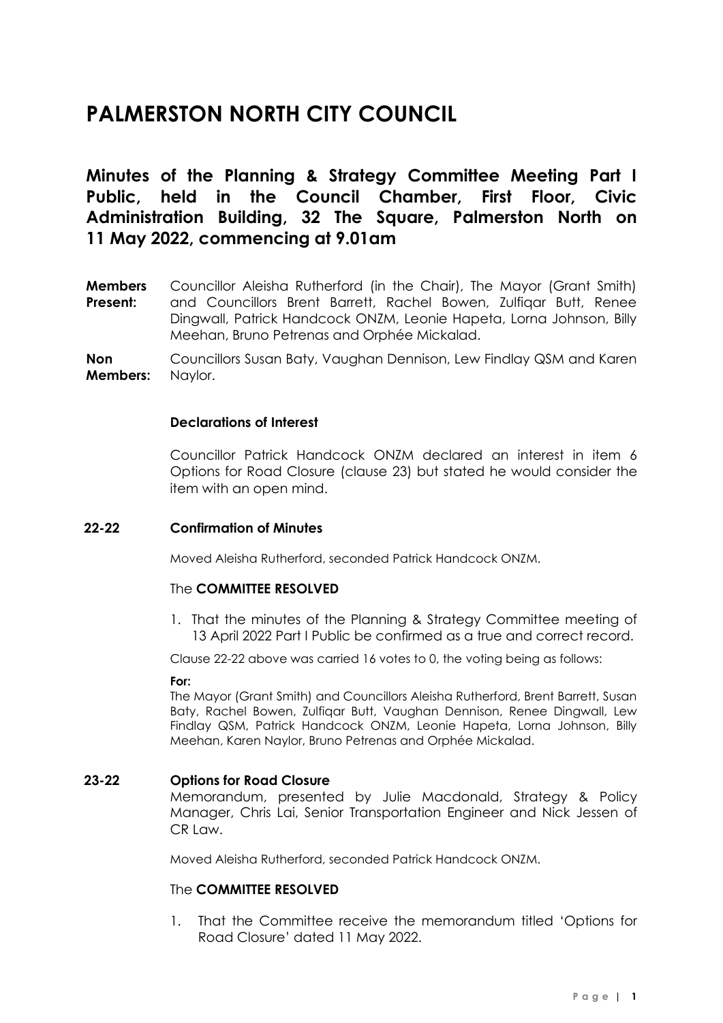# **PALMERSTON NORTH CITY COUNCIL**

**Minutes of the Planning & Strategy Committee Meeting Part I Public, held in the Council Chamber, First Floor, Civic Administration Building, 32 The Square, Palmerston North on 11 May 2022, commencing at 9.01am**

**Members Present:** Councillor Aleisha Rutherford (in the Chair), The Mayor (Grant Smith) and Councillors Brent Barrett, Rachel Bowen, Zulfiqar Butt, Renee Dingwall, Patrick Handcock ONZM, Leonie Hapeta, Lorna Johnson, Billy Meehan, Bruno Petrenas and Orphée Mickalad.

**Non Members:** Councillors Susan Baty, Vaughan Dennison, Lew Findlay QSM and Karen Naylor.

### **Declarations of Interest**

Councillor Patrick Handcock ONZM declared an interest in item 6 Options for Road Closure (clause 23) but stated he would consider the item with an open mind.

### **22-22 Confirmation of Minutes**

Moved Aleisha Rutherford, seconded Patrick Handcock ONZM.

### The **COMMITTEE RESOLVED**

1. That the minutes of the Planning & Strategy Committee meeting of 13 April 2022 Part I Public be confirmed as a true and correct record.

Clause 22-22 above was carried 16 votes to 0, the voting being as follows:

### **For:**

The Mayor (Grant Smith) and Councillors Aleisha Rutherford, Brent Barrett, Susan Baty, Rachel Bowen, Zulfiqar Butt, Vaughan Dennison, Renee Dingwall, Lew Findlay QSM, Patrick Handcock ONZM, Leonie Hapeta, Lorna Johnson, Billy Meehan, Karen Naylor, Bruno Petrenas and Orphée Mickalad.

### **23-22 Options for Road Closure**

Memorandum, presented by Julie Macdonald, Strategy & Policy Manager, Chris Lai, Senior Transportation Engineer and Nick Jessen of CR Law.

Moved Aleisha Rutherford, seconded Patrick Handcock ONZM.

### The **COMMITTEE RESOLVED**

1. That the Committee receive the memorandum titled 'Options for Road Closure' dated 11 May 2022.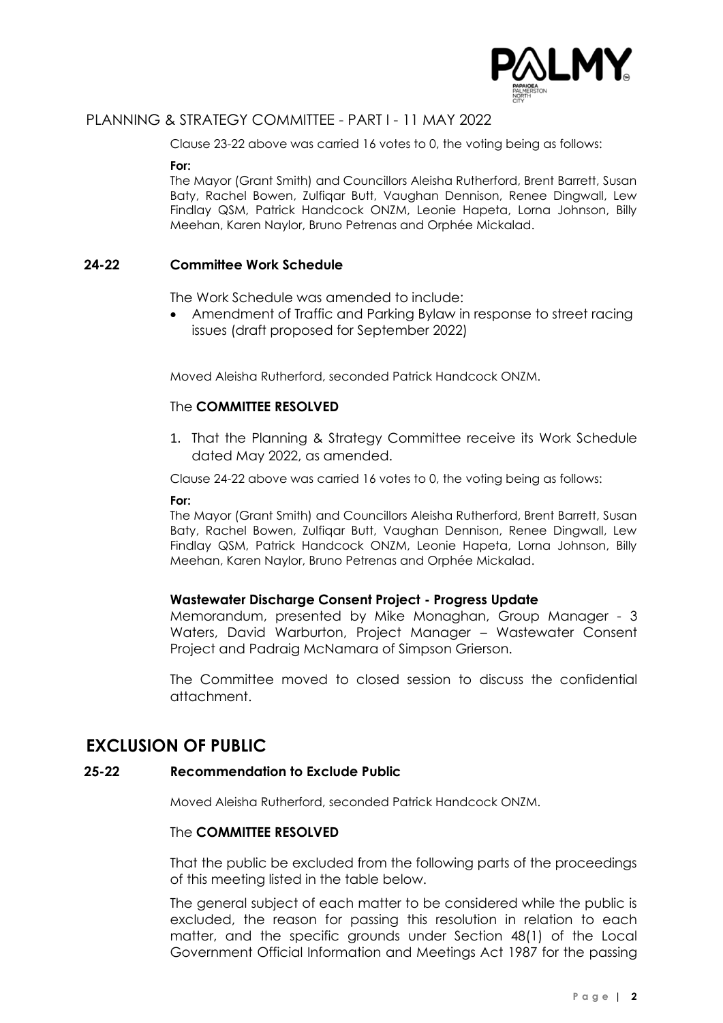

## PLANNING & STRATEGY COMMITTEE - PART I - 11 MAY 2022

Clause 23-22 above was carried 16 votes to 0, the voting being as follows:

**For:**

The Mayor (Grant Smith) and Councillors Aleisha Rutherford, Brent Barrett, Susan Baty, Rachel Bowen, Zulfiqar Butt, Vaughan Dennison, Renee Dingwall, Lew Findlay QSM, Patrick Handcock ONZM, Leonie Hapeta, Lorna Johnson, Billy Meehan, Karen Naylor, Bruno Petrenas and Orphée Mickalad.

### **24-22 Committee Work Schedule**

The Work Schedule was amended to include:

• Amendment of Traffic and Parking Bylaw in response to street racing issues (draft proposed for September 2022)

Moved Aleisha Rutherford, seconded Patrick Handcock ONZM.

### The **COMMITTEE RESOLVED**

1. That the Planning & Strategy Committee receive its Work Schedule dated May 2022, as amended.

Clause 24-22 above was carried 16 votes to 0, the voting being as follows:

### **For:**

The Mayor (Grant Smith) and Councillors Aleisha Rutherford, Brent Barrett, Susan Baty, Rachel Bowen, Zulfiqar Butt, Vaughan Dennison, Renee Dingwall, Lew Findlay QSM, Patrick Handcock ONZM, Leonie Hapeta, Lorna Johnson, Billy Meehan, Karen Naylor, Bruno Petrenas and Orphée Mickalad.

### **Wastewater Discharge Consent Project - Progress Update**

Memorandum, presented by Mike Monaghan, Group Manager - 3 Waters, David Warburton, Project Manager – Wastewater Consent Project and Padraig McNamara of Simpson Grierson.

The Committee moved to closed session to discuss the confidential attachment.

# **EXCLUSION OF PUBLIC**

### **25-22 Recommendation to Exclude Public**

Moved Aleisha Rutherford, seconded Patrick Handcock ONZM.

### The **COMMITTEE RESOLVED**

That the public be excluded from the following parts of the proceedings of this meeting listed in the table below.

The general subject of each matter to be considered while the public is excluded, the reason for passing this resolution in relation to each matter, and the specific grounds under Section 48(1) of the Local Government Official Information and Meetings Act 1987 for the passing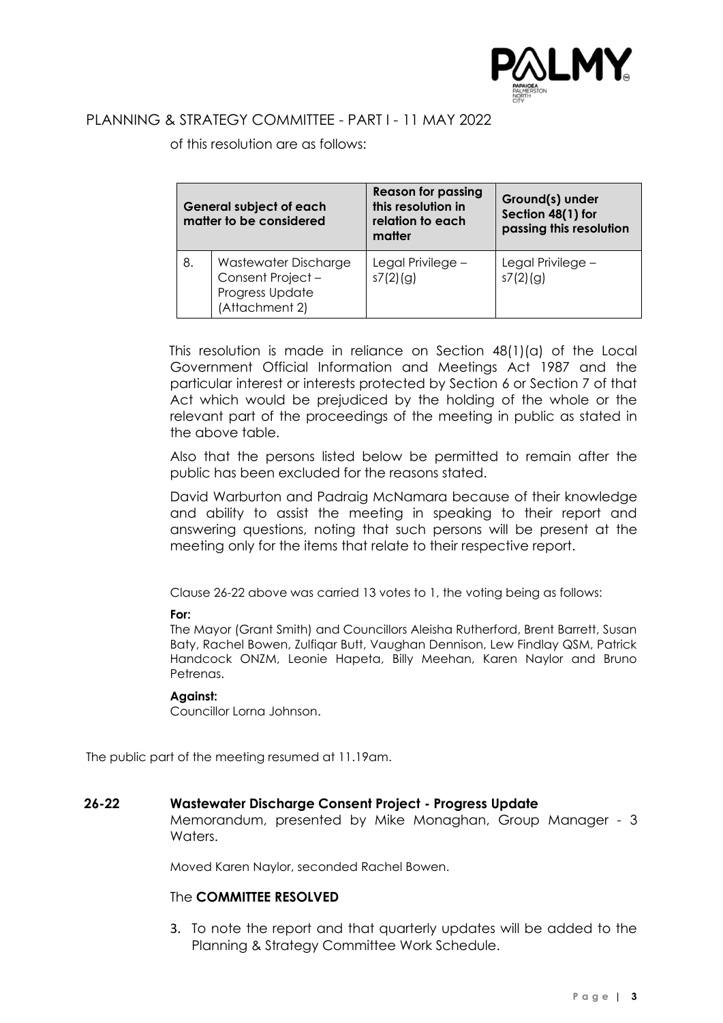

# PLANNING & STRATEGY COMMITTEE - PART I - 11 MAY 2022

of this resolution are as follows:

| <b>General subject of each</b><br>matter to be considered |                                                                               | <b>Reason for passing</b><br>this resolution in<br>relation to each<br>matter | Ground(s) under<br>Section 48(1) for<br>passing this resolution |
|-----------------------------------------------------------|-------------------------------------------------------------------------------|-------------------------------------------------------------------------------|-----------------------------------------------------------------|
| 8.                                                        | Wastewater Discharge<br>Consent Project-<br>Progress Update<br>(Attachment 2) | Legal Privilege -<br>s7(2)(g)                                                 | Legal Privilege -<br>s7(2)(g)                                   |

This resolution is made in reliance on Section 48(1)(a) of the Local Government Official Information and Meetings Act 1987 and the particular interest or interests protected by Section 6 or Section 7 of that Act which would be prejudiced by the holding of the whole or the relevant part of the proceedings of the meeting in public as stated in the above table.

Also that the persons listed below be permitted to remain after the public has been excluded for the reasons stated.

David Warburton and Padraig McNamara because of their knowledge and ability to assist the meeting in speaking to their report and answering questions, noting that such persons will be present at the meeting only for the items that relate to their respective report.

Clause 26-22 above was carried 13 votes to 1, the voting being as follows:

### **For:**

The Mayor (Grant Smith) and Councillors Aleisha Rutherford, Brent Barrett, Susan Baty, Rachel Bowen, Zulfiqar Butt, Vaughan Dennison, Lew Findlay QSM, Patrick Handcock ONZM, Leonie Hapeta, Billy Meehan, Karen Naylor and Bruno Petrenas.

### **Against:**

Councillor Lorna Johnson.

The public part of the meeting resumed at 11.19am.

### **26-22 Wastewater Discharge Consent Project - Progress Update**

Memorandum, presented by Mike Monaghan, Group Manager - 3 Waters.

Moved Karen Naylor, seconded Rachel Bowen.

### The **COMMITTEE RESOLVED**

3. To note the report and that quarterly updates will be added to the Planning & Strategy Committee Work Schedule.